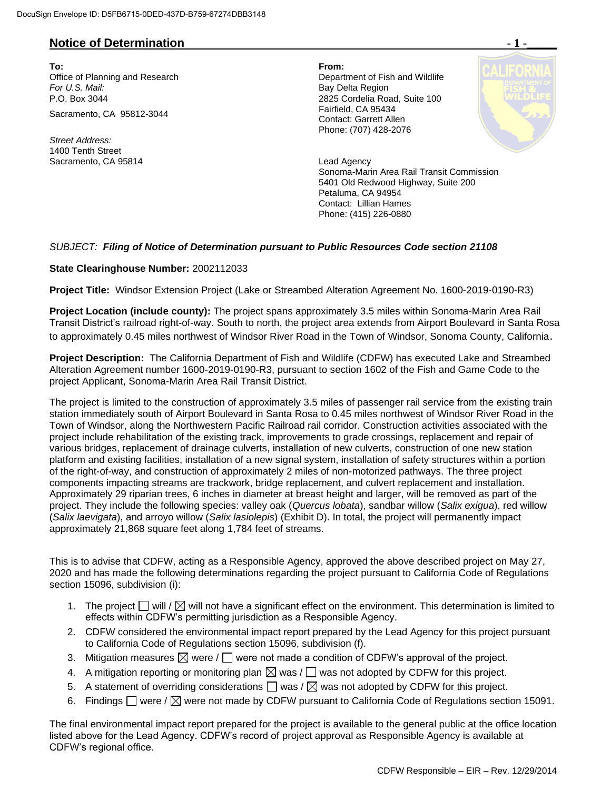### **Notice of Determination**  $\blacksquare$  **1 -**

**To: From:**  Office of Planning and Research Department of Fish and Wildlife For U.S. Mail: **Bay Delta Region** P.O. Box 3044 2825 Cordelia Road, Suite 100 Sacramento, CA 95812-3044

*Street Address:* 1400 Tenth Street Sacramento, CA 95814 **Lead Agency** Lead Agency

Contact: Garrett Allen Phone: (707) 428-2076



Sonoma-Marin Area Rail Transit Commission 5401 Old Redwood Highway, Suite 200 Petaluma, CA 94954 Contact: Lillian Hames Phone: (415) 226-0880

### *SUBJECT: Filing of Notice of Determination pursuant to Public Resources Code section 21108*

#### **State Clearinghouse Number:** 2002112033

**Project Title:** Windsor Extension Project (Lake or Streambed Alteration Agreement No. 1600-2019-0190-R3)

**Project Location (include county):** The project spans approximately 3.5 miles within Sonoma-Marin Area Rail Transit District's railroad right-of-way. South to north, the project area extends from Airport Boulevard in Santa Rosa to approximately 0.45 miles northwest of Windsor River Road in the Town of Windsor, Sonoma County, California.

**Project Description:** The California Department of Fish and Wildlife (CDFW) has executed Lake and Streambed Alteration Agreement number 1600-2019-0190-R3, pursuant to section 1602 of the Fish and Game Code to the project Applicant, Sonoma-Marin Area Rail Transit District.

The project is limited to the construction of approximately 3.5 miles of passenger rail service from the existing train station immediately south of Airport Boulevard in Santa Rosa to 0.45 miles northwest of Windsor River Road in the Town of Windsor, along the Northwestern Pacific Railroad rail corridor. Construction activities associated with the project include rehabilitation of the existing track, improvements to grade crossings, replacement and repair of various bridges, replacement of drainage culverts, installation of new culverts, construction of one new station platform and existing facilities, installation of a new signal system, installation of safety structures within a portion of the right-of-way, and construction of approximately 2 miles of non-motorized pathways. The three project components impacting streams are trackwork, bridge replacement, and culvert replacement and installation. Approximately 29 riparian trees, 6 inches in diameter at breast height and larger, will be removed as part of the project. They include the following species: valley oak (*Quercus lobata*), sandbar willow (*Salix exigua*), red willow (*Salix laevigata*), and arroyo willow (*Salix lasiolepis*) (Exhibit D). In total, the project will permanently impact approximately 21,868 square feet along 1,784 feet of streams.

This is to advise that CDFW, acting as a Responsible Agency, approved the above described project on May 27, 2020 and has made the following determinations regarding the project pursuant to California Code of Regulations section 15096, subdivision (i):

- 1. The project  $\Box$  will  $\Diamond$  will not have a significant effect on the environment. This determination is limited to effects within CDFW's permitting jurisdiction as a Responsible Agency.
- 2. CDFW considered the environmental impact report prepared by the Lead Agency for this project pursuant to California Code of Regulations section 15096, subdivision (f).
- 3. Mitigation measures  $\boxtimes$  were /  $\Box$  were not made a condition of CDFW's approval of the project.
- 4. A mitigation reporting or monitoring plan  $\boxtimes$  was /  $\Box$  was not adopted by CDFW for this project.
- 5. A statement of overriding considerations  $\Box$  was  $\land \boxtimes$  was not adopted by CDFW for this project.
- 6. Findings  $\Box$  were /  $\boxtimes$  were not made by CDFW pursuant to California Code of Regulations section 15091.

The final environmental impact report prepared for the project is available to the general public at the office location listed above for the Lead Agency. CDFW's record of project approval as Responsible Agency is available at CDFW's regional office.